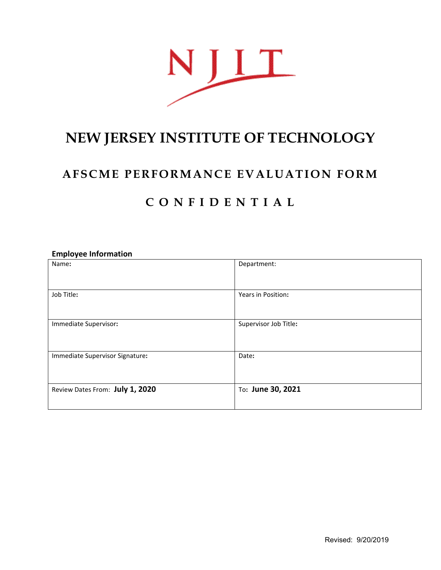

# **NEW JERSEY INSTITUTE OF TECHNOLOGY**

### **AFSCME PERFORMANCE EVALUATION FORM**

## **C O N F I D E N T I A L**

### **Employee Information**

| Name:                           | Department:           |
|---------------------------------|-----------------------|
| Job Title:                      | Years in Position:    |
| Immediate Supervisor:           | Supervisor Job Title: |
| Immediate Supervisor Signature: | Date:                 |
| Review Dates From: July 1, 2020 | To: June 30, 2021     |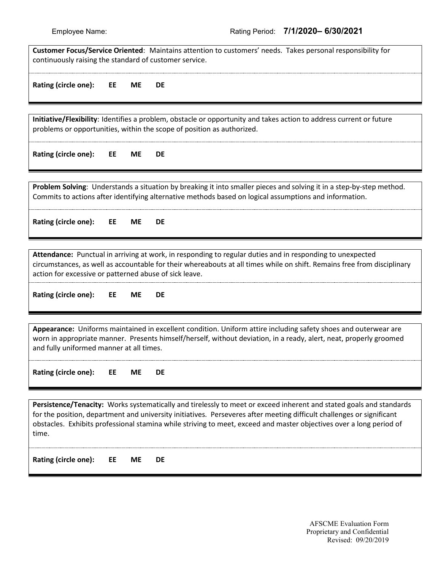| Customer Focus/Service Oriented: Maintains attention to customers' needs. Takes personal responsibility for<br>continuously raising the standard of customer service.                                                                                                                                                                                                        |    |           |                                                                                                                                                                                                                                |  |
|------------------------------------------------------------------------------------------------------------------------------------------------------------------------------------------------------------------------------------------------------------------------------------------------------------------------------------------------------------------------------|----|-----------|--------------------------------------------------------------------------------------------------------------------------------------------------------------------------------------------------------------------------------|--|
| Rating (circle one):                                                                                                                                                                                                                                                                                                                                                         | EE | <b>ME</b> | DE                                                                                                                                                                                                                             |  |
|                                                                                                                                                                                                                                                                                                                                                                              |    |           |                                                                                                                                                                                                                                |  |
| Initiative/Flexibility: Identifies a problem, obstacle or opportunity and takes action to address current or future<br>problems or opportunities, within the scope of position as authorized.                                                                                                                                                                                |    |           |                                                                                                                                                                                                                                |  |
| Rating (circle one):                                                                                                                                                                                                                                                                                                                                                         | EE | <b>ME</b> | DE                                                                                                                                                                                                                             |  |
|                                                                                                                                                                                                                                                                                                                                                                              |    |           |                                                                                                                                                                                                                                |  |
|                                                                                                                                                                                                                                                                                                                                                                              |    |           | Problem Solving: Understands a situation by breaking it into smaller pieces and solving it in a step-by-step method.<br>Commits to actions after identifying alternative methods based on logical assumptions and information. |  |
| Rating (circle one):                                                                                                                                                                                                                                                                                                                                                         | EE | <b>ME</b> | DE                                                                                                                                                                                                                             |  |
|                                                                                                                                                                                                                                                                                                                                                                              |    |           |                                                                                                                                                                                                                                |  |
| Attendance: Punctual in arriving at work, in responding to regular duties and in responding to unexpected<br>circumstances, as well as accountable for their whereabouts at all times while on shift. Remains free from disciplinary<br>action for excessive or patterned abuse of sick leave.                                                                               |    |           |                                                                                                                                                                                                                                |  |
| Rating (circle one):                                                                                                                                                                                                                                                                                                                                                         | EE | <b>ME</b> | <b>DE</b>                                                                                                                                                                                                                      |  |
|                                                                                                                                                                                                                                                                                                                                                                              |    |           |                                                                                                                                                                                                                                |  |
| Appearance: Uniforms maintained in excellent condition. Uniform attire including safety shoes and outerwear are<br>worn in appropriate manner. Presents himself/herself, without deviation, in a ready, alert, neat, properly groomed<br>and fully uniformed manner at all times.                                                                                            |    |           |                                                                                                                                                                                                                                |  |
| Rating (circle one):                                                                                                                                                                                                                                                                                                                                                         | EE | <b>ME</b> | <b>DE</b>                                                                                                                                                                                                                      |  |
|                                                                                                                                                                                                                                                                                                                                                                              |    |           |                                                                                                                                                                                                                                |  |
| Persistence/Tenacity: Works systematically and tirelessly to meet or exceed inherent and stated goals and standards<br>for the position, department and university initiatives. Perseveres after meeting difficult challenges or significant<br>obstacles. Exhibits professional stamina while striving to meet, exceed and master objectives over a long period of<br>time. |    |           |                                                                                                                                                                                                                                |  |
| Rating (circle one):                                                                                                                                                                                                                                                                                                                                                         | EE | ME        | DE                                                                                                                                                                                                                             |  |
|                                                                                                                                                                                                                                                                                                                                                                              |    |           |                                                                                                                                                                                                                                |  |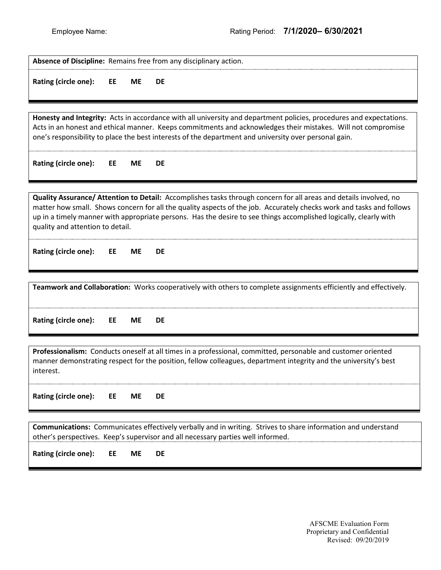| Absence of Discipline: Remains free from any disciplinary action.                                                                                                                                                                                                                                                                                                                                  |           |           |  |
|----------------------------------------------------------------------------------------------------------------------------------------------------------------------------------------------------------------------------------------------------------------------------------------------------------------------------------------------------------------------------------------------------|-----------|-----------|--|
| Rating (circle one):<br>EE                                                                                                                                                                                                                                                                                                                                                                         | <b>ME</b> | DE        |  |
| Honesty and Integrity: Acts in accordance with all university and department policies, procedures and expectations.<br>Acts in an honest and ethical manner. Keeps commitments and acknowledges their mistakes. Will not compromise<br>one's responsibility to place the best interests of the department and university over personal gain.                                                       |           |           |  |
| Rating (circle one):<br>EE                                                                                                                                                                                                                                                                                                                                                                         | <b>ME</b> | DE        |  |
| Quality Assurance/ Attention to Detail: Accomplishes tasks through concern for all areas and details involved, no<br>matter how small. Shows concern for all the quality aspects of the job. Accurately checks work and tasks and follows<br>up in a timely manner with appropriate persons. Has the desire to see things accomplished logically, clearly with<br>quality and attention to detail. |           |           |  |
| Rating (circle one):<br>EE                                                                                                                                                                                                                                                                                                                                                                         | <b>ME</b> | DE        |  |
| Teamwork and Collaboration: Works cooperatively with others to complete assignments efficiently and effectively.                                                                                                                                                                                                                                                                                   |           |           |  |
| Rating (circle one):<br>EE                                                                                                                                                                                                                                                                                                                                                                         | <b>ME</b> | DE        |  |
| Professionalism: Conducts oneself at all times in a professional, committed, personable and customer oriented<br>manner demonstrating respect for the position, fellow colleagues, department integrity and the university's best<br>interest.                                                                                                                                                     |           |           |  |
| Rating (circle one):<br>EE                                                                                                                                                                                                                                                                                                                                                                         | ME        | DE        |  |
| Communications: Communicates effectively verbally and in writing. Strives to share information and understand<br>other's perspectives. Keep's supervisor and all necessary parties well informed.                                                                                                                                                                                                  |           |           |  |
| Rating (circle one):<br>EE                                                                                                                                                                                                                                                                                                                                                                         | <b>ME</b> | <b>DE</b> |  |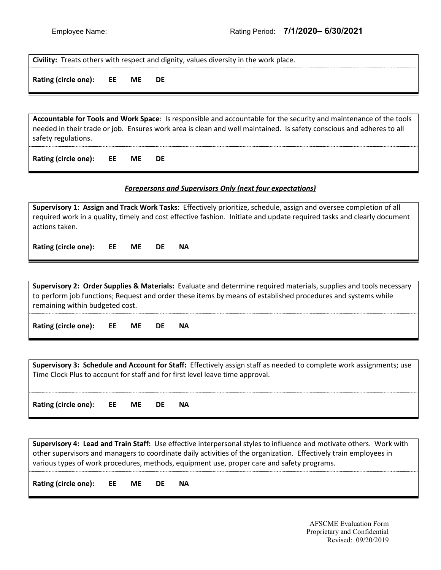**Civility:** Treats others with respect and dignity, values diversity in the work place.

**Rating (circle one): EE ME DE**

**Accountable for Tools and Work Space**: Is responsible and accountable for the security and maintenance of the tools needed in their trade or job. Ensures work area is clean and well maintained. Is safety conscious and adheres to all safety regulations.

**Rating (circle one): EE ME DE**

#### *Forepersons and Supervisors Only (next four expectations)*

**Supervisory 1**: **Assign and Track Work Tasks**: Effectively prioritize, schedule, assign and oversee completion of all required work in a quality, timely and cost effective fashion. Initiate and update required tasks and clearly document actions taken.

**Rating (circle one): EE ME DE NA**

**Supervisory 2: Order Supplies & Materials:** Evaluate and determine required materials, supplies and tools necessary to perform job functions; Request and order these items by means of established procedures and systems while remaining within budgeted cost.

**Rating (circle one): EE ME DE NA**

**Supervisory 3: Schedule and Account for Staff:** Effectively assign staff as needed to complete work assignments; use Time Clock Plus to account for staff and for first level leave time approval.

**Rating (circle one): EE ME DE NA**

**Supervisory 4: Lead and Train Staff:** Use effective interpersonal styles to influence and motivate others. Work with other supervisors and managers to coordinate daily activities of the organization. Effectively train employees in various types of work procedures, methods, equipment use, proper care and safety programs.

**Rating (circle one): EE ME DE NA**

AFSCME Evaluation Form Proprietary and Confidential Revised: 09/20/2019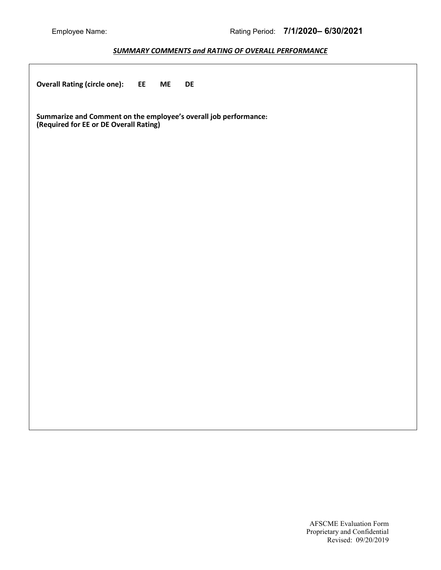#### *SUMMARY COMMENTS and RATING OF OVERALL PERFORMANCE*

| <b>Overall Rating (circle one):</b>                                                                        | EE<br><b>ME</b> | DE |  |  |  |  |
|------------------------------------------------------------------------------------------------------------|-----------------|----|--|--|--|--|
| Summarize and Comment on the employee's overall job performance:<br>(Required for EE or DE Overall Rating) |                 |    |  |  |  |  |
|                                                                                                            |                 |    |  |  |  |  |
|                                                                                                            |                 |    |  |  |  |  |
|                                                                                                            |                 |    |  |  |  |  |
|                                                                                                            |                 |    |  |  |  |  |
|                                                                                                            |                 |    |  |  |  |  |
|                                                                                                            |                 |    |  |  |  |  |
|                                                                                                            |                 |    |  |  |  |  |
|                                                                                                            |                 |    |  |  |  |  |
|                                                                                                            |                 |    |  |  |  |  |